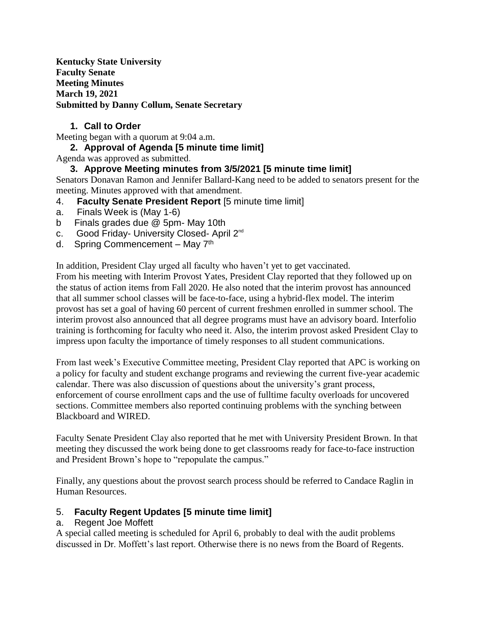**Kentucky State University Faculty Senate Meeting Minutes March 19, 2021 Submitted by Danny Collum, Senate Secretary**

# **1. Call to Order**

Meeting began with a quorum at 9:04 a.m.

# **2. Approval of Agenda [5 minute time limit]**

Agenda was approved as submitted.

# **3. Approve Meeting minutes from 3/5/2021 [5 minute time limit]**

Senators Donavan Ramon and Jennifer Ballard-Kang need to be added to senators present for the meeting. Minutes approved with that amendment.

- 4. **Faculty Senate President Report** [5 minute time limit]
- a. Finals Week is (May 1-6)
- b Finals grades due @ 5pm- May 10th
- c. Good Friday- University Closed- April 2<sup>nd</sup>
- d. Spring Commencement May 7<sup>th</sup>

In addition, President Clay urged all faculty who haven't yet to get vaccinated.

From his meeting with Interim Provost Yates, President Clay reported that they followed up on the status of action items from Fall 2020. He also noted that the interim provost has announced that all summer school classes will be face-to-face, using a hybrid-flex model. The interim provost has set a goal of having 60 percent of current freshmen enrolled in summer school. The interim provost also announced that all degree programs must have an advisory board. Interfolio training is forthcoming for faculty who need it. Also, the interim provost asked President Clay to impress upon faculty the importance of timely responses to all student communications.

From last week's Executive Committee meeting, President Clay reported that APC is working on a policy for faculty and student exchange programs and reviewing the current five-year academic calendar. There was also discussion of questions about the university's grant process, enforcement of course enrollment caps and the use of fulltime faculty overloads for uncovered sections. Committee members also reported continuing problems with the synching between Blackboard and WIRED.

Faculty Senate President Clay also reported that he met with University President Brown. In that meeting they discussed the work being done to get classrooms ready for face-to-face instruction and President Brown's hope to "repopulate the campus."

Finally, any questions about the provost search process should be referred to Candace Raglin in Human Resources.

### 5. **Faculty Regent Updates [5 minute time limit]**

### a. Regent Joe Moffett

A special called meeting is scheduled for April 6, probably to deal with the audit problems discussed in Dr. Moffett's last report. Otherwise there is no news from the Board of Regents.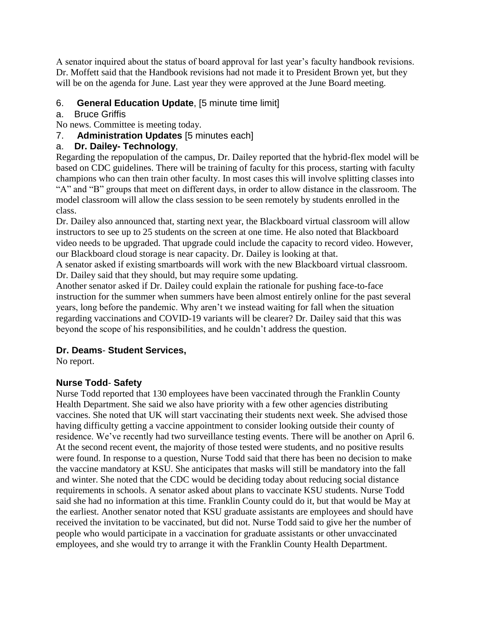A senator inquired about the status of board approval for last year's faculty handbook revisions. Dr. Moffett said that the Handbook revisions had not made it to President Brown yet, but they will be on the agenda for June. Last year they were approved at the June Board meeting.

# 6. **General Education Update**, [5 minute time limit]

### a. Bruce Griffis

No news. Committee is meeting today.

7. **Administration Updates** [5 minutes each]

# a. **Dr. Dailey- Technology**,

Regarding the repopulation of the campus, Dr. Dailey reported that the hybrid-flex model will be based on CDC guidelines. There will be training of faculty for this process, starting with faculty champions who can then train other faculty. In most cases this will involve splitting classes into "A" and "B" groups that meet on different days, in order to allow distance in the classroom. The model classroom will allow the class session to be seen remotely by students enrolled in the class.

Dr. Dailey also announced that, starting next year, the Blackboard virtual classroom will allow instructors to see up to 25 students on the screen at one time. He also noted that Blackboard video needs to be upgraded. That upgrade could include the capacity to record video. However, our Blackboard cloud storage is near capacity. Dr. Dailey is looking at that.

A senator asked if existing smartboards will work with the new Blackboard virtual classroom. Dr. Dailey said that they should, but may require some updating.

Another senator asked if Dr. Dailey could explain the rationale for pushing face-to-face instruction for the summer when summers have been almost entirely online for the past several years, long before the pandemic. Why aren't we instead waiting for fall when the situation regarding vaccinations and COVID-19 variants will be clearer? Dr. Dailey said that this was beyond the scope of his responsibilities, and he couldn't address the question.

# **Dr. Deams**- **Student Services,**

No report.

# **Nurse Todd**- **Safety**

Nurse Todd reported that 130 employees have been vaccinated through the Franklin County Health Department. She said we also have priority with a few other agencies distributing vaccines. She noted that UK will start vaccinating their students next week. She advised those having difficulty getting a vaccine appointment to consider looking outside their county of residence. We've recently had two surveillance testing events. There will be another on April 6. At the second recent event, the majority of those tested were students, and no positive results were found. In response to a question, Nurse Todd said that there has been no decision to make the vaccine mandatory at KSU. She anticipates that masks will still be mandatory into the fall and winter. She noted that the CDC would be deciding today about reducing social distance requirements in schools. A senator asked about plans to vaccinate KSU students. Nurse Todd said she had no information at this time. Franklin County could do it, but that would be May at the earliest. Another senator noted that KSU graduate assistants are employees and should have received the invitation to be vaccinated, but did not. Nurse Todd said to give her the number of people who would participate in a vaccination for graduate assistants or other unvaccinated employees, and she would try to arrange it with the Franklin County Health Department.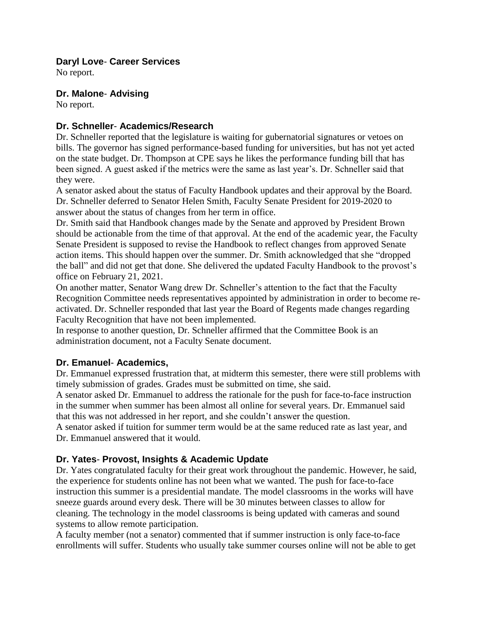#### **Daryl Love**- **Career Services**

No report.

#### **Dr. Malone**- **Advising**

No report.

#### **Dr. Schneller**- **Academics/Research**

Dr. Schneller reported that the legislature is waiting for gubernatorial signatures or vetoes on bills. The governor has signed performance-based funding for universities, but has not yet acted on the state budget. Dr. Thompson at CPE says he likes the performance funding bill that has been signed. A guest asked if the metrics were the same as last year's. Dr. Schneller said that they were.

A senator asked about the status of Faculty Handbook updates and their approval by the Board. Dr. Schneller deferred to Senator Helen Smith, Faculty Senate President for 2019-2020 to answer about the status of changes from her term in office.

Dr. Smith said that Handbook changes made by the Senate and approved by President Brown should be actionable from the time of that approval. At the end of the academic year, the Faculty Senate President is supposed to revise the Handbook to reflect changes from approved Senate action items. This should happen over the summer. Dr. Smith acknowledged that she "dropped the ball" and did not get that done. She delivered the updated Faculty Handbook to the provost's office on February 21, 2021.

On another matter, Senator Wang drew Dr. Schneller's attention to the fact that the Faculty Recognition Committee needs representatives appointed by administration in order to become reactivated. Dr. Schneller responded that last year the Board of Regents made changes regarding Faculty Recognition that have not been implemented.

In response to another question, Dr. Schneller affirmed that the Committee Book is an administration document, not a Faculty Senate document.

#### **Dr. Emanuel**- **Academics,**

Dr. Emmanuel expressed frustration that, at midterm this semester, there were still problems with timely submission of grades. Grades must be submitted on time, she said.

A senator asked Dr. Emmanuel to address the rationale for the push for face-to-face instruction in the summer when summer has been almost all online for several years. Dr. Emmanuel said that this was not addressed in her report, and she couldn't answer the question.

A senator asked if tuition for summer term would be at the same reduced rate as last year, and Dr. Emmanuel answered that it would.

### **Dr. Yates**- **Provost, Insights & Academic Update**

Dr. Yates congratulated faculty for their great work throughout the pandemic. However, he said, the experience for students online has not been what we wanted. The push for face-to-face instruction this summer is a presidential mandate. The model classrooms in the works will have sneeze guards around every desk. There will be 30 minutes between classes to allow for cleaning. The technology in the model classrooms is being updated with cameras and sound systems to allow remote participation.

A faculty member (not a senator) commented that if summer instruction is only face-to-face enrollments will suffer. Students who usually take summer courses online will not be able to get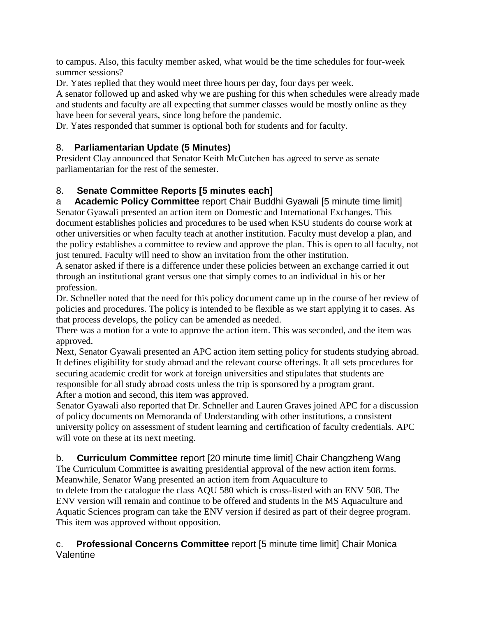to campus. Also, this faculty member asked, what would be the time schedules for four-week summer sessions?

Dr. Yates replied that they would meet three hours per day, four days per week.

A senator followed up and asked why we are pushing for this when schedules were already made and students and faculty are all expecting that summer classes would be mostly online as they have been for several years, since long before the pandemic.

Dr. Yates responded that summer is optional both for students and for faculty.

# 8. **Parliamentarian Update (5 Minutes)**

President Clay announced that Senator Keith McCutchen has agreed to serve as senate parliamentarian for the rest of the semester.

# 8. **Senate Committee Reports [5 minutes each]**

a **Academic Policy Committee** report Chair Buddhi Gyawali [5 minute time limit] Senator Gyawali presented an action item on Domestic and International Exchanges. This document establishes policies and procedures to be used when KSU students do course work at other universities or when faculty teach at another institution. Faculty must develop a plan, and the policy establishes a committee to review and approve the plan. This is open to all faculty, not just tenured. Faculty will need to show an invitation from the other institution.

A senator asked if there is a difference under these policies between an exchange carried it out through an institutional grant versus one that simply comes to an individual in his or her profession.

Dr. Schneller noted that the need for this policy document came up in the course of her review of policies and procedures. The policy is intended to be flexible as we start applying it to cases. As that process develops, the policy can be amended as needed.

There was a motion for a vote to approve the action item. This was seconded, and the item was approved.

Next, Senator Gyawali presented an APC action item setting policy for students studying abroad. It defines eligibility for study abroad and the relevant course offerings. It all sets procedures for securing academic credit for work at foreign universities and stipulates that students are responsible for all study abroad costs unless the trip is sponsored by a program grant. After a motion and second, this item was approved.

Senator Gyawali also reported that Dr. Schneller and Lauren Graves joined APC for a discussion of policy documents on Memoranda of Understanding with other institutions, a consistent university policy on assessment of student learning and certification of faculty credentials. APC will vote on these at its next meeting.

# b. **Curriculum Committee** report [20 minute time limit] Chair Changzheng Wang

The Curriculum Committee is awaiting presidential approval of the new action item forms. Meanwhile, Senator Wang presented an action item from Aquaculture to

to delete from the catalogue the class AQU 580 which is cross-listed with an ENV 508. The ENV version will remain and continue to be offered and students in the MS Aquaculture and Aquatic Sciences program can take the ENV version if desired as part of their degree program. This item was approved without opposition.

#### c. **Professional Concerns Committee** report [5 minute time limit] Chair Monica Valentine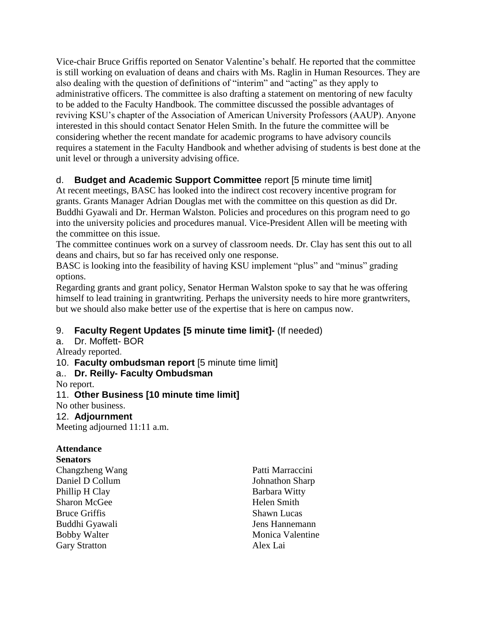Vice-chair Bruce Griffis reported on Senator Valentine's behalf. He reported that the committee is still working on evaluation of deans and chairs with Ms. Raglin in Human Resources. They are also dealing with the question of definitions of "interim" and "acting" as they apply to administrative officers. The committee is also drafting a statement on mentoring of new faculty to be added to the Faculty Handbook. The committee discussed the possible advantages of reviving KSU's chapter of the Association of American University Professors (AAUP). Anyone interested in this should contact Senator Helen Smith. In the future the committee will be considering whether the recent mandate for academic programs to have advisory councils requires a statement in the Faculty Handbook and whether advising of students is best done at the unit level or through a university advising office.

# d. **Budget and Academic Support Committee** report [5 minute time limit]

At recent meetings, BASC has looked into the indirect cost recovery incentive program for grants. Grants Manager Adrian Douglas met with the committee on this question as did Dr. Buddhi Gyawali and Dr. Herman Walston. Policies and procedures on this program need to go into the university policies and procedures manual. Vice-President Allen will be meeting with the committee on this issue.

The committee continues work on a survey of classroom needs. Dr. Clay has sent this out to all deans and chairs, but so far has received only one response.

BASC is looking into the feasibility of having KSU implement "plus" and "minus" grading options.

Regarding grants and grant policy, Senator Herman Walston spoke to say that he was offering himself to lead training in grantwriting. Perhaps the university needs to hire more grantwriters, but we should also make better use of the expertise that is here on campus now.

# 9. **Faculty Regent Updates [5 minute time limit]-** (If needed)

a. Dr. Moffett- BOR

Already reported.

10. **Faculty ombudsman report** [5 minute time limit]

# a.. **Dr. Reilly- Faculty Ombudsman**

No report.

### 11. **Other Business [10 minute time limit]**

No other business.

### 12. **Adjournment**

Meeting adjourned 11:11 a.m.

### **Attendance**

**Senators**

Changzheng Wang Daniel D Collum Phillip H Clay Sharon McGee Bruce Griffis Buddhi Gyawali Bobby Walter Gary Stratton

Patti Marraccini Johnathon Sharp Barbara Witty Helen Smith Shawn Lucas Jens Hannemann Monica Valentine Alex Lai